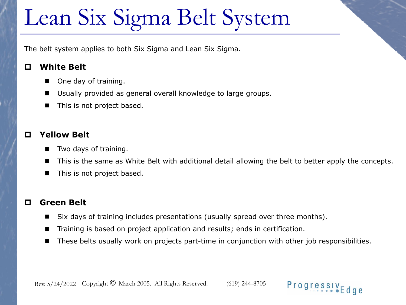# Lean Six Sigma Belt System

The belt system applies to both Six Sigma and Lean Six Sigma.

#### **White Belt**

- One day of training.
- Usually provided as general overall knowledge to large groups.
- This is not project based.

### **Yellow Belt**

- Two days of training.
- This is the same as White Belt with additional detail allowing the belt to better apply the concepts.
- This is not project based.

#### **Green Belt**

- Six days of training includes presentations (usually spread over three months).
- Training is based on project application and results; ends in certification.
- These belts usually work on projects part-time in conjunction with other job responsibilities.